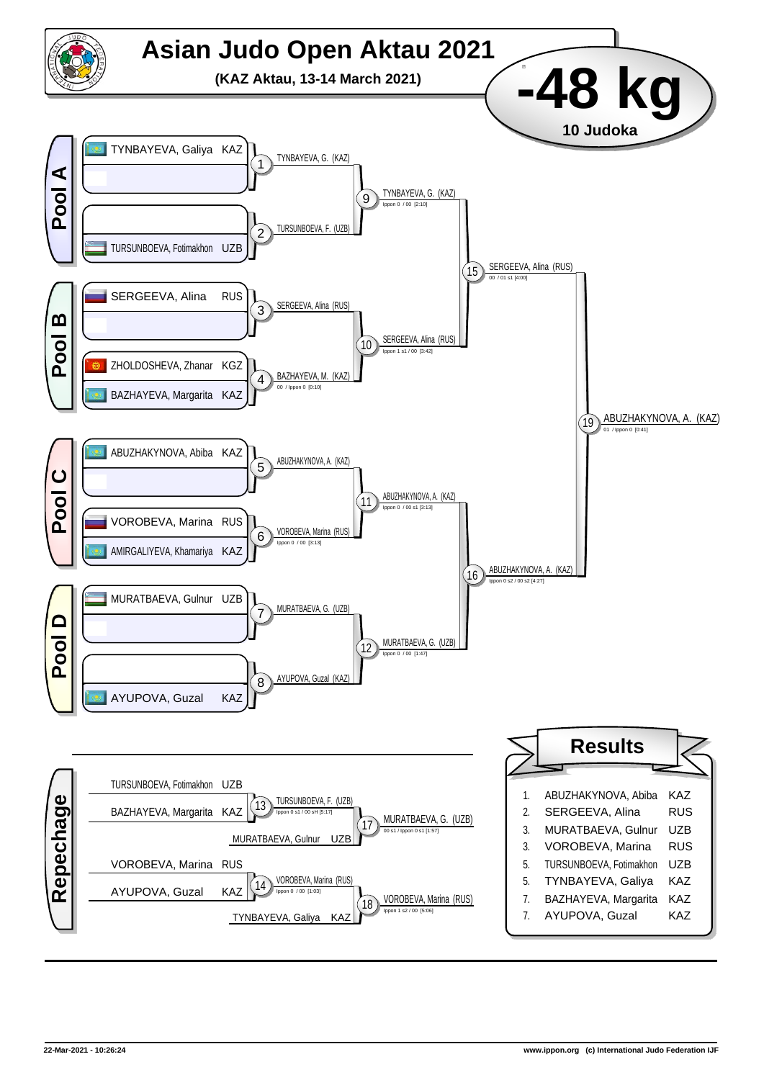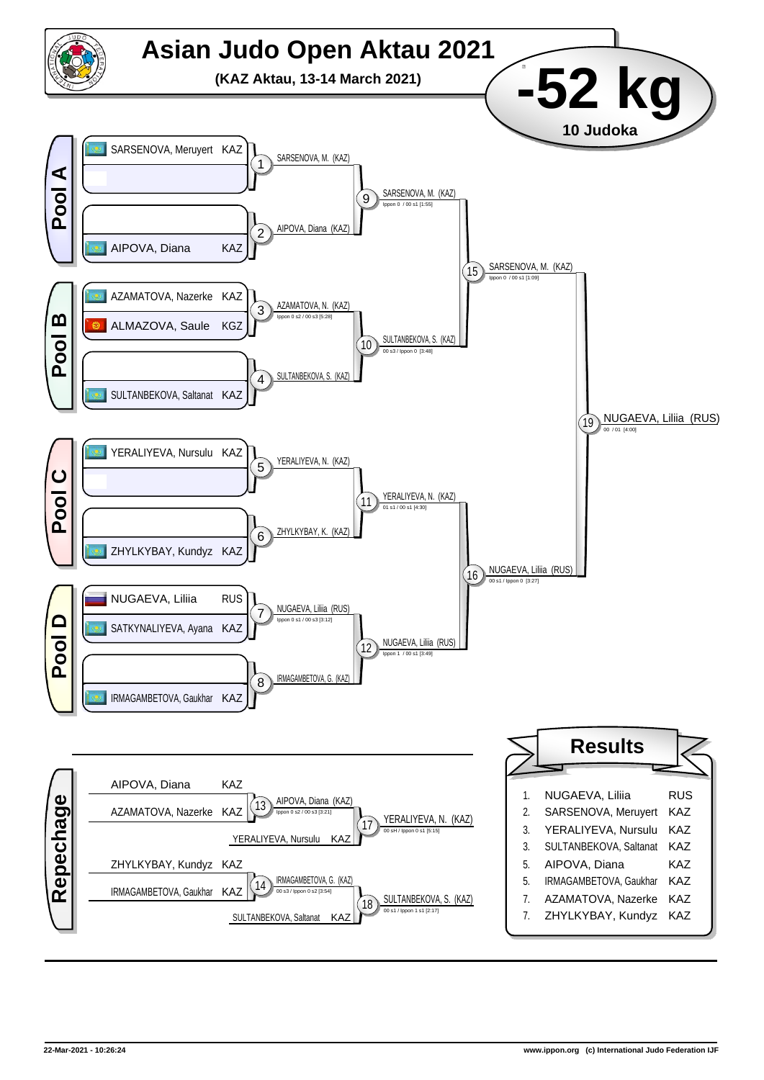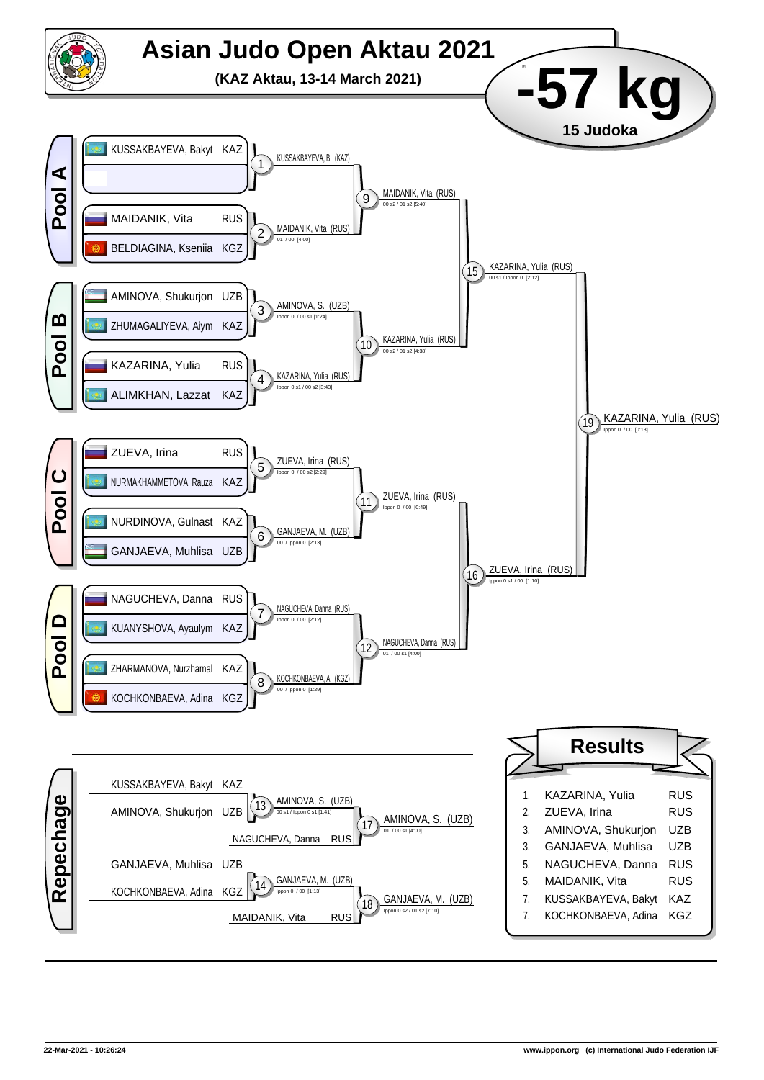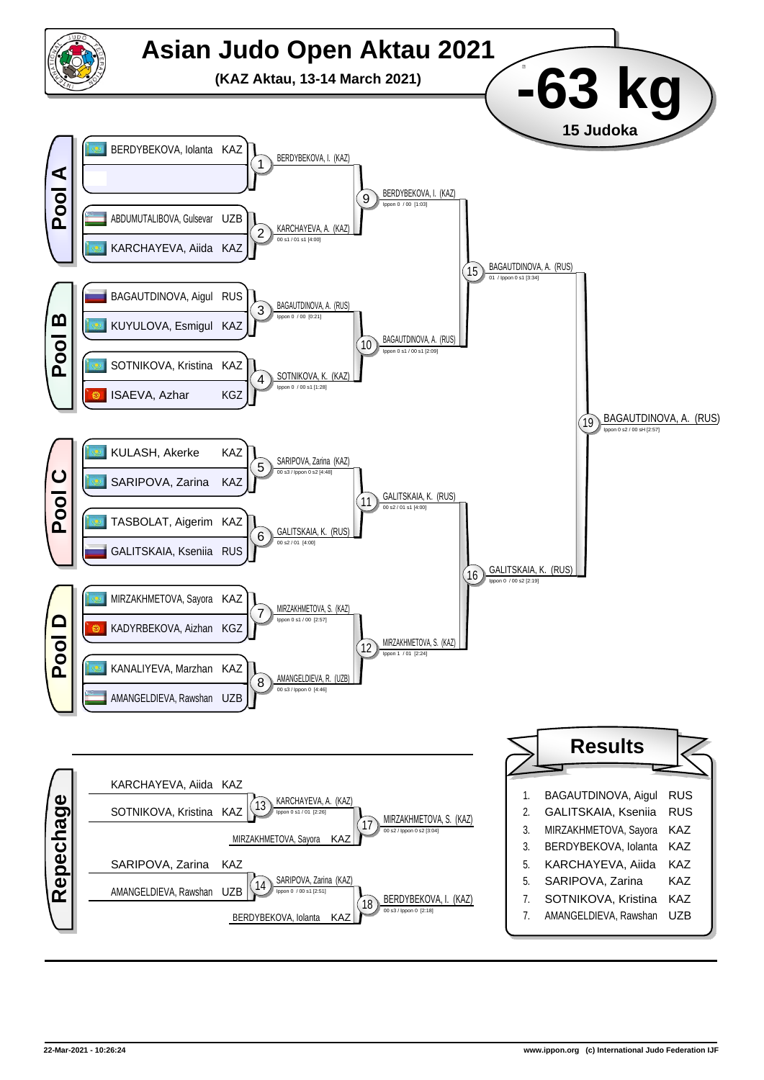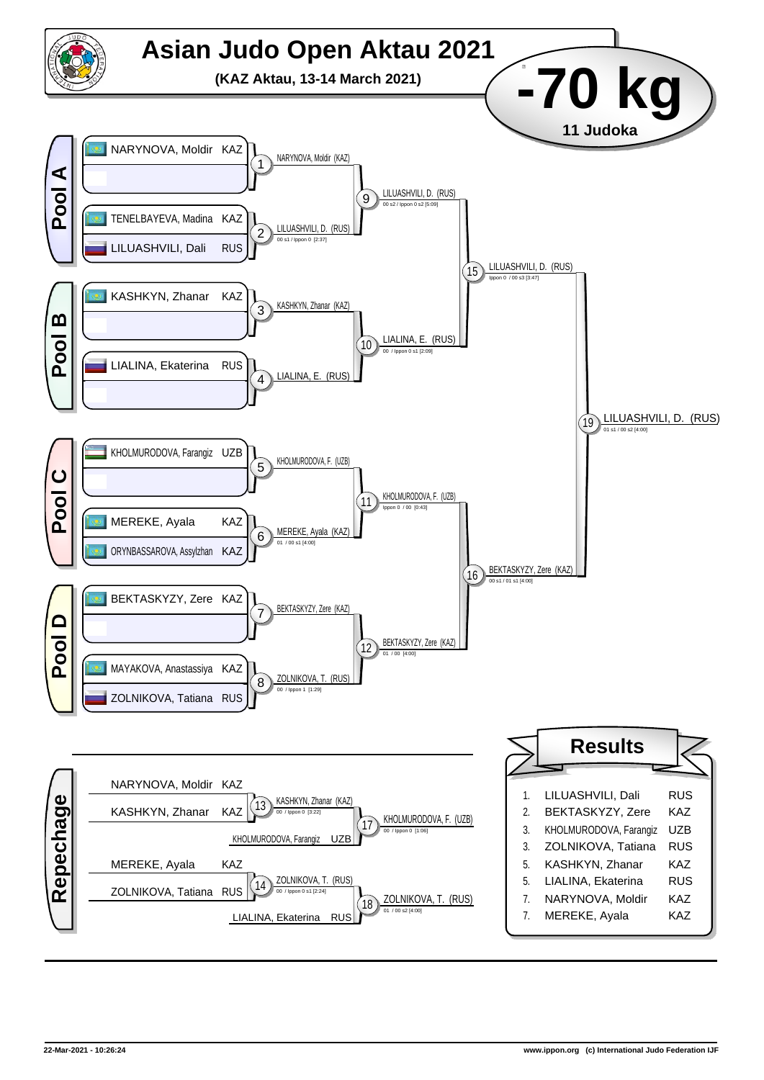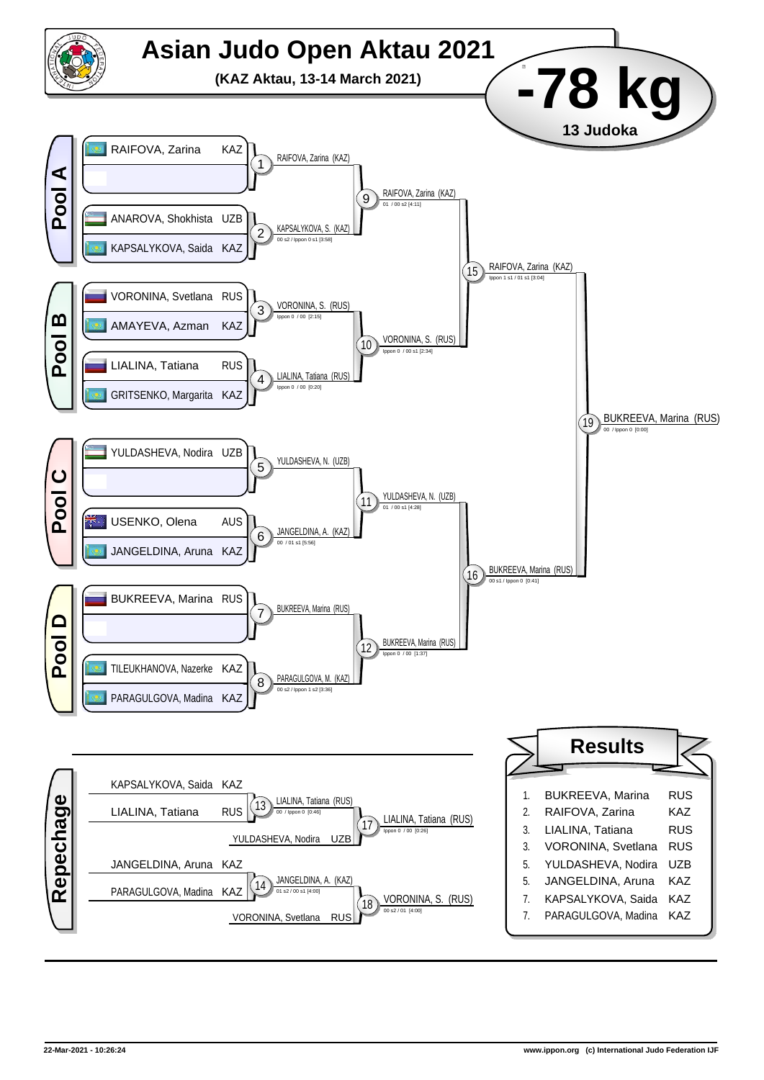